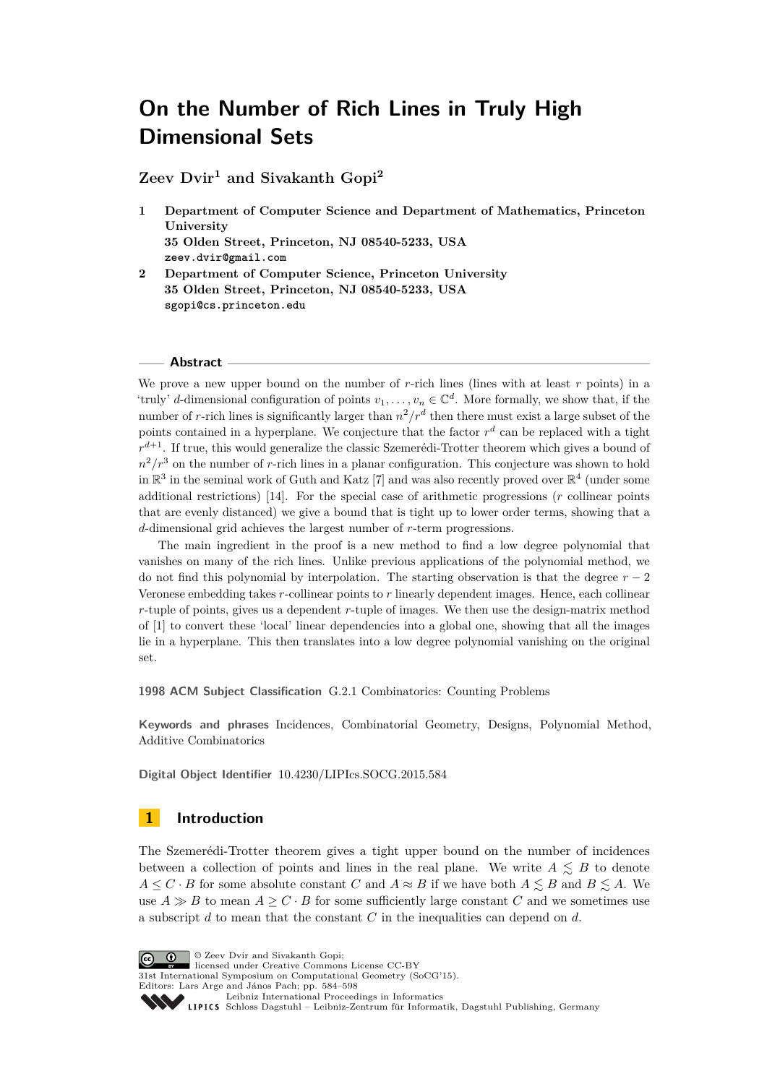**Zeev Dvir<sup>1</sup> and Sivakanth Gopi<sup>2</sup>**

- **1 Department of Computer Science and Department of Mathematics, Princeton University 35 Olden Street, Princeton, NJ 08540-5233, USA zeev.dvir@gmail.com**
- **2 Department of Computer Science, Princeton University 35 Olden Street, Princeton, NJ 08540-5233, USA sgopi@cs.princeton.edu**

#### **Abstract**

We prove a new upper bound on the number of *r*-rich lines (lines with at least *r* points) in a 'truly' *d*-dimensional configuration of points  $v_1, \ldots, v_n \in \mathbb{C}^d$ . More formally, we show that, if the number of *r*-rich lines is significantly larger than  $n^2/r^d$  then there must exist a large subset of the points contained in a hyperplane. We conjecture that the factor  $r<sup>d</sup>$  can be replaced with a tight  $r^{d+1}$ . If true, this would generalize the classic Szemerédi-Trotter theorem which gives a bound of  $n^2/r^3$  on the number of *r*-rich lines in a planar configuration. This conjecture was shown to hold in  $\mathbb{R}^3$  in the seminal work of Guth and Katz [\[7\]](#page-14-0) and was also recently proved over  $\mathbb{R}^4$  (under some additional restrictions) [\[14\]](#page-14-1). For the special case of arithmetic progressions (*r* collinear points that are evenly distanced) we give a bound that is tight up to lower order terms, showing that a *d*-dimensional grid achieves the largest number of *r*-term progressions.

The main ingredient in the proof is a new method to find a low degree polynomial that vanishes on many of the rich lines. Unlike previous applications of the polynomial method, we do not find this polynomial by interpolation. The starting observation is that the degree  $r - 2$ Veronese embedding takes *r*-collinear points to *r* linearly dependent images. Hence, each collinear *r*-tuple of points, gives us a dependent *r*-tuple of images. We then use the design-matrix method of [\[1\]](#page-14-2) to convert these 'local' linear dependencies into a global one, showing that all the images lie in a hyperplane. This then translates into a low degree polynomial vanishing on the original set.

**1998 ACM Subject Classification** G.2.1 Combinatorics: Counting Problems

**Keywords and phrases** Incidences, Combinatorial Geometry, Designs, Polynomial Method, Additive Combinatorics

**Digital Object Identifier** [10.4230/LIPIcs.SOCG.2015.584](http://dx.doi.org/10.4230/LIPIcs.SOCG.2015.584)

# **1 Introduction**

The Szemerédi-Trotter theorem gives a tight upper bound on the number of incidences between a collection of points and lines in the real plane. We write  $A \leq B$  to denote  $A \leq C \cdot B$  for some absolute constant *C* and  $A \approx B$  if we have both  $A \leq B$  and  $B \leq A$ . We use  $A \gg B$  to mean  $A \geq C \cdot B$  for some sufficiently large constant *C* and we sometimes use a subscript *d* to mean that the constant *C* in the inequalities can depend on *d*.

© Zeev Dvir and Sivakanth Gopi;

licensed under Creative Commons License CC-BY

31st International Symposium on Computational Geometry (SoCG'15). Editors: Lars Arge and János Pach; pp. 584[–598](#page-14-3)

[Leibniz International Proceedings in Informatics](http://www.dagstuhl.de/lipics/)

[Schloss Dagstuhl – Leibniz-Zentrum für Informatik, Dagstuhl Publishing, Germany](http://www.dagstuhl.de)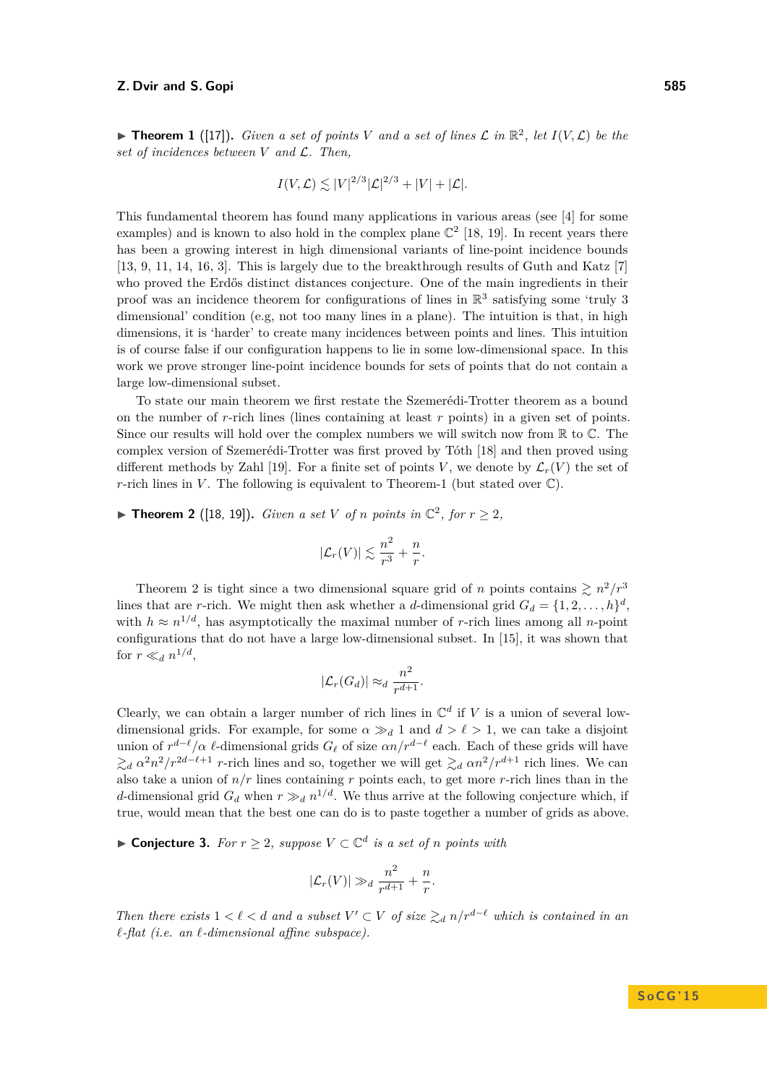<span id="page-1-0"></span>**Find 1** ([\[17\]](#page-14-4)). *Given a set of points V and a set of lines*  $\mathcal{L}$  *in*  $\mathbb{R}^2$ *, let*  $I(V, \mathcal{L})$  *be the set of incidences between V and* L*. Then,*

$$
I(V,\mathcal{L}) \lesssim |V|^{2/3} |\mathcal{L}|^{2/3} + |V| + |\mathcal{L}|.
$$

This fundamental theorem has found many applications in various areas (see [\[4\]](#page-14-5) for some examples) and is known to also hold in the complex plane  $\mathbb{C}^2$  [\[18,](#page-14-6) [19\]](#page-14-7). In recent years there has been a growing interest in high dimensional variants of line-point incidence bounds [\[13,](#page-14-8) [9,](#page-14-9) [11,](#page-14-10) [14,](#page-14-1) [16,](#page-14-11) [3\]](#page-14-12). This is largely due to the breakthrough results of Guth and Katz [\[7\]](#page-14-0) who proved the Erdős distinct distances conjecture. One of the main ingredients in their proof was an incidence theorem for configurations of lines in  $\mathbb{R}^3$  satisfying some 'truly 3 dimensional' condition (e.g, not too many lines in a plane). The intuition is that, in high dimensions, it is 'harder' to create many incidences between points and lines. This intuition is of course false if our configuration happens to lie in some low-dimensional space. In this work we prove stronger line-point incidence bounds for sets of points that do not contain a large low-dimensional subset.

To state our main theorem we first restate the Szemerédi-Trotter theorem as a bound on the number of *r*-rich lines (lines containing at least *r* points) in a given set of points. Since our results will hold over the complex numbers we will switch now from  $\mathbb R$  to  $\mathbb C$ . The complex version of Szemerédi-Trotter was first proved by Tóth [\[18\]](#page-14-6) and then proved using different methods by Zahl [\[19\]](#page-14-7). For a finite set of points *V*, we denote by  $\mathcal{L}_r(V)$  the set of *r*-rich lines in *V*. The following is equivalent to Theorem[-1](#page-1-0) (but stated over  $\mathbb{C}$ ).

<span id="page-1-1"></span>▶ **Theorem 2** ([\[18,](#page-14-6) [19\]](#page-14-7)). *Given a set V of n points in*  $\mathbb{C}^2$ *, for*  $r \geq 2$ *,* 

$$
|\mathcal{L}_r(V)| \lesssim \frac{n^2}{r^3} + \frac{n}{r}.
$$

Theorem [2](#page-1-1) is tight since a two dimensional square grid of *n* points contains  $\geq n^2/r^3$ lines that are *r*-rich. We might then ask whether a *d*-dimensional grid  $G_d = \{1, 2, \ldots, h\}^d$ , with  $h \approx n^{1/d}$ , has asymptotically the maximal number of *r*-rich lines among all *n*-point configurations that do not have a large low-dimensional subset. In [\[15\]](#page-14-13), it was shown that for  $r \ll_d n^{1/d}$ ,

$$
|\mathcal{L}_r(G_d)| \approx_d \frac{n^2}{r^{d+1}}.
$$

Clearly, we can obtain a larger number of rich lines in  $\mathbb{C}^d$  if V is a union of several lowdimensional grids. For example, for some  $\alpha \gg_d 1$  and  $d > \ell > 1$ , we can take a disjoint union of  $r^{d-\ell}/\alpha$   $\ell$ -dimensional grids  $G_{\ell}$  of size  $\alpha n/r^{d-\ell}$  each. Each of these grids will have  $\gtrsim_d a^2 n^2 / r^{2d-\ell+1}$  *r*-rich lines and so, together we will get  $\gtrsim_d a n^2 / r^{d+1}$  rich lines. We can also take a union of *n/r* lines containing *r* points each, to get more *r*-rich lines than in the *d*-dimensional grid  $G_d$  when  $r \gg_d n^{1/d}$ . We thus arrive at the following conjecture which, if true, would mean that the best one can do is to paste together a number of grids as above.

<span id="page-1-2"></span>▶ **Conjecture 3.** *For*  $r \geq 2$ *, suppose*  $V \subset \mathbb{C}^d$  *is a set of n points with* 

$$
|\mathcal{L}_r(V)| \gg_d \frac{n^2}{r^{d+1}} + \frac{n}{r}.
$$

*Then there exists*  $1 < \ell < d$  *and a subset*  $V' \subset V$  *of size*  $\gtrsim_d n/r^{d-\ell}$  *which is contained in an*  $\ell$ -flat (i.e. an  $\ell$ -dimensional affine subspace).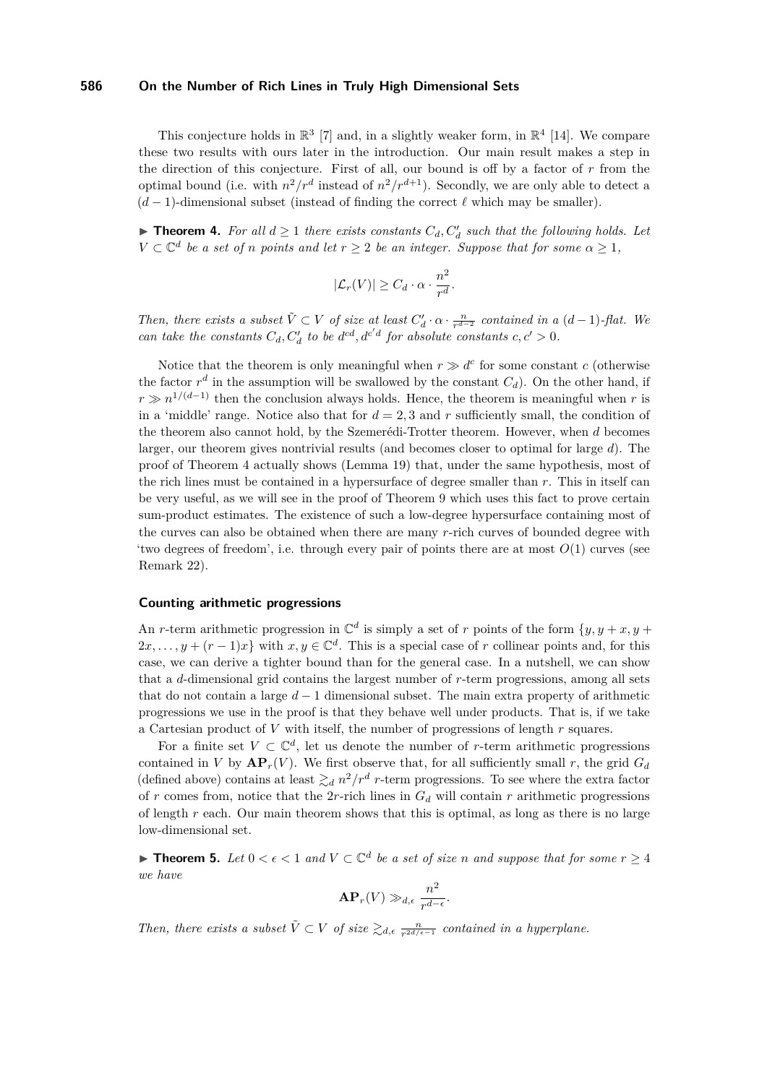This conjecture holds in  $\mathbb{R}^3$  [\[7\]](#page-14-0) and, in a slightly weaker form, in  $\mathbb{R}^4$  [\[14\]](#page-14-1). We compare these two results with ours later in the introduction. Our main result makes a step in the direction of this conjecture. First of all, our bound is off by a factor of *r* from the optimal bound (i.e. with  $n^2/r^d$  instead of  $n^2/r^{d+1}$ ). Secondly, we are only able to detect a  $(d-1)$ -dimensional subset (instead of finding the correct  $\ell$  which may be smaller).

<span id="page-2-0"></span>▶ **Theorem 4.** For all  $d \ge 1$  there exists constants  $C_d$ ,  $C'_d$  such that the following holds. Let  $V \subset \mathbb{C}^d$  *be a set of n points and let*  $r \geq 2$  *be an integer. Suppose that for some*  $\alpha \geq 1$ *,* 

$$
|\mathcal{L}_r(V)| \geq C_d \cdot \alpha \cdot \frac{n^2}{r^d}.
$$

*Then, there exists a subset*  $\tilde{V} \subset V$  *of size at least*  $C'_d \cdot \alpha \cdot \frac{n}{r^{d-2}}$  *contained in a*  $(d-1)$ *-flat. We can take the constants*  $C_d$ ,  $C'_d$  *to be*  $d^{cd}$ ,  $d^{c'd}$  *for absolute constants*  $c, c' > 0$ .

Notice that the theorem is only meaningful when  $r \gg d^c$  for some constant *c* (otherwise the factor  $r^d$  in the assumption will be swallowed by the constant  $C_d$ ). On the other hand, if  $r \gg n^{1/(d-1)}$  then the conclusion always holds. Hence, the theorem is meaningful when *r* is in a 'middle' range. Notice also that for  $d = 2, 3$  and  $r$  sufficiently small, the condition of the theorem also cannot hold, by the Szemerédi-Trotter theorem. However, when *d* becomes larger, our theorem gives nontrivial results (and becomes closer to optimal for large *d*). The proof of Theorem [4](#page-2-0) actually shows (Lemma [19\)](#page-7-0) that, under the same hypothesis, most of the rich lines must be contained in a hypersurface of degree smaller than *r*. This in itself can be very useful, as we will see in the proof of Theorem [9](#page-4-0) which uses this fact to prove certain sum-product estimates. The existence of such a low-degree hypersurface containing most of the curves can also be obtained when there are many *r*-rich curves of bounded degree with 'two degrees of freedom', i.e. through every pair of points there are at most *O*(1) curves (see Remark [22\)](#page-9-0).

#### **Counting arithmetic progressions**

An *r*-term arithmetic progression in  $\mathbb{C}^d$  is simply a set of *r* points of the form  $\{y, y + x, y + y\}$  $2x, \ldots, y + (r-1)x$  with  $x, y \in \mathbb{C}^d$ . This is a special case of *r* collinear points and, for this case, we can derive a tighter bound than for the general case. In a nutshell, we can show that a *d*-dimensional grid contains the largest number of *r*-term progressions, among all sets that do not contain a large *d* − 1 dimensional subset. The main extra property of arithmetic progressions we use in the proof is that they behave well under products. That is, if we take a Cartesian product of *V* with itself, the number of progressions of length *r* squares.

For a finite set  $V \subset \mathbb{C}^d$ , let us denote the number of *r*-term arithmetic progressions contained in *V* by  $AP_r(V)$ . We first observe that, for all sufficiently small *r*, the grid  $G_d$ (defined above) contains at least  $\gtrsim_d n^2/r^d$  *r*-term progressions. To see where the extra factor of *r* comes from, notice that the 2*r*-rich lines in  $G_d$  will contain *r* arithmetic progressions of length *r* each. Our main theorem shows that this is optimal, as long as there is no large low-dimensional set.

<span id="page-2-1"></span>**► Theorem 5.** Let  $0 < \epsilon < 1$  and  $V \subset \mathbb{C}^d$  be a set of size *n* and suppose that for some  $r \geq 4$ *we have*

$$
\mathbf{AP}_r(V) \gg_{d,\epsilon} \frac{n^2}{r^{d-\epsilon}}.
$$

*Then, there exists a subset*  $\tilde{V} \subset V$  *of size*  $\geq_{d,\epsilon} \frac{n}{r^{2d/\epsilon-1}}$  *contained in a hyperplane.*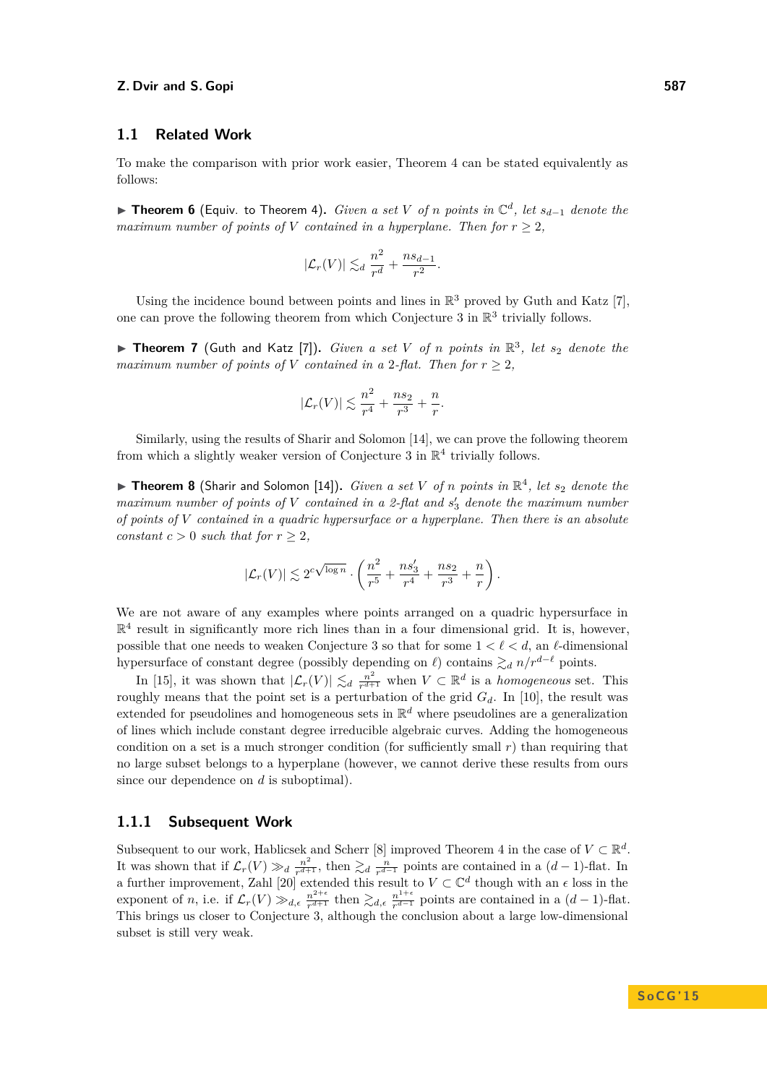## **1.1 Related Work**

To make the comparison with prior work easier, Theorem [4](#page-2-0) can be stated equivalently as follows:

I **Theorem 6** (Equiv. to Theorem [4\)](#page-2-0)**.** *Given a set V of n points in* C *d , let sd*−<sup>1</sup> *denote the maximum number of points of V contained in a hyperplane. Then for*  $r \geq 2$ *,* 

$$
|\mathcal{L}_r(V)| \lesssim_d \frac{n^2}{r^d} + \frac{ns_{d-1}}{r^2}.
$$

Using the incidence bound between points and lines in  $\mathbb{R}^3$  proved by Guth and Katz [\[7\]](#page-14-0), one can prove the following theorem from which Conjecture [3](#page-1-2) in  $\mathbb{R}^3$  trivially follows.

▶ Theorem 7 (Guth and Katz [\[7\]](#page-14-0)). *Given a set V* of *n* points in  $\mathbb{R}^3$ , let  $s_2$  denote the *maximum number of points of V contained in a* 2-flat. Then for  $r > 2$ ,

$$
|\mathcal{L}_r(V)| \lesssim \frac{n^2}{r^4} + \frac{n s_2}{r^3} + \frac{n}{r}.
$$

Similarly, using the results of Sharir and Solomon [\[14\]](#page-14-1), we can prove the following theorem from which a slightly weaker version of Conjecture [3](#page-1-2) in  $\mathbb{R}^4$  trivially follows.

 $\triangleright$  **Theorem 8** (Sharir and Solomon [\[14\]](#page-14-1)). *Given a set V of n points in*  $\mathbb{R}^4$ , *let s*<sub>2</sub> *denote the* maximum number of points of V contained in a 2-flat and  $s'_3$  denote the maximum number *of points of V contained in a quadric hypersurface or a hyperplane. Then there is an absolute constant*  $c > 0$  *such that for*  $r \geq 2$ *,* 

$$
|\mathcal{L}_r(V)| \lesssim 2^{c\sqrt{\log n}}\cdot \left(\frac{n^2}{r^5} + \frac{ns_3'}{r^4} + \frac{ns_2}{r^3} + \frac{n}{r}\right).
$$

We are not aware of any examples where points arranged on a quadric hypersurface in  $\mathbb{R}^4$  result in significantly more rich lines than in a four dimensional grid. It is, however, possible that one needs to weaken Conjecture [3](#page-1-2) so that for some  $1 < \ell < d$ , an  $\ell$ -dimensional hypersurface of constant degree (possibly depending on  $\ell$ ) contains  $\gtrsim_d n/r^{d-\ell}$  points.

In [\[15\]](#page-14-13), it was shown that  $|\mathcal{L}_r(V)| \lesssim_d \frac{n^2}{r^{d+1}}$  $\frac{n^2}{r^{d+1}}$  when  $V \subset \mathbb{R}^d$  is a *homogeneous* set. This roughly means that the point set is a perturbation of the grid  $G_d$ . In [\[10\]](#page-14-14), the result was extended for pseudolines and homogeneous sets in R *<sup>d</sup>* where pseudolines are a generalization of lines which include constant degree irreducible algebraic curves. Adding the homogeneous condition on a set is a much stronger condition (for sufficiently small *r*) than requiring that no large subset belongs to a hyperplane (however, we cannot derive these results from ours since our dependence on *d* is suboptimal).

## **1.1.1 Subsequent Work**

Subsequent to our work, Hablicsek and Scherr [\[8\]](#page-14-15) improved Theorem [4](#page-2-0) in the case of  $V \subset \mathbb{R}^d$ . It was shown that if  $\mathcal{L}_r(V) \gg_d \frac{n^2}{r^{d+1}}$  $\frac{n^2}{r^{d+1}}$ , then  $\gtrsim_d \frac{n}{r^{d-1}}$  points are contained in a  $(d-1)$ -flat. In a further improvement, Zahl [\[20\]](#page-14-16) extended this result to  $V \subset \mathbb{C}^d$  though with an  $\epsilon$  loss in the exponent of *n*, i.e. if  $\mathcal{L}_r(V) \gg_{d,\epsilon} \frac{n^{2+\epsilon}}{r^{d+1}}$  $\frac{n^{2+\epsilon}}{r^{d+1}}$  then  $\gtrsim_{d,\epsilon} \frac{n^{1+\epsilon}}{r^{d-1}}$  $\frac{n^{1+\epsilon}}{n^{d-1}}$  points are contained in a  $(d-1)$ -flat. This brings us closer to Conjecture [3,](#page-1-2) although the conclusion about a large low-dimensional subset is still very weak.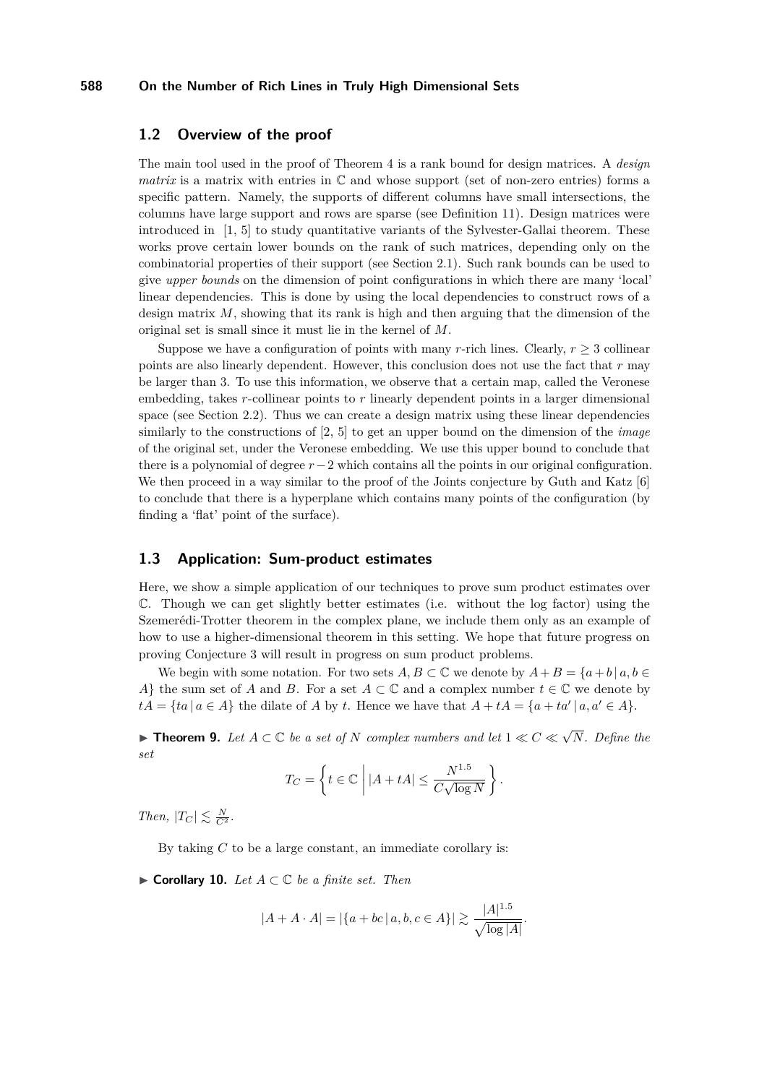## **1.2 Overview of the proof**

The main tool used in the proof of Theorem [4](#page-2-0) is a rank bound for design matrices. A *design matrix* is a matrix with entries in  $\mathbb C$  and whose support (set of non-zero entries) forms a specific pattern. Namely, the supports of different columns have small intersections, the columns have large support and rows are sparse (see Definition [11\)](#page-5-0). Design matrices were introduced in [\[1,](#page-14-2) [5\]](#page-14-17) to study quantitative variants of the Sylvester-Gallai theorem. These works prove certain lower bounds on the rank of such matrices, depending only on the combinatorial properties of their support (see Section [2.1\)](#page-5-1). Such rank bounds can be used to give *upper bounds* on the dimension of point configurations in which there are many 'local' linear dependencies. This is done by using the local dependencies to construct rows of a design matrix *M*, showing that its rank is high and then arguing that the dimension of the original set is small since it must lie in the kernel of *M*.

Suppose we have a configuration of points with many *r*-rich lines. Clearly,  $r \geq 3$  collinear points are also linearly dependent. However, this conclusion does not use the fact that *r* may be larger than 3. To use this information, we observe that a certain map, called the Veronese embedding, takes *r*-collinear points to *r* linearly dependent points in a larger dimensional space (see Section [2.2\)](#page-5-2). Thus we can create a design matrix using these linear dependencies similarly to the constructions of [\[2,](#page-14-18) [5\]](#page-14-17) to get an upper bound on the dimension of the *image* of the original set, under the Veronese embedding. We use this upper bound to conclude that there is a polynomial of degree *r*−2 which contains all the points in our original configuration. We then proceed in a way similar to the proof of the Joints conjecture by Guth and Katz [\[6\]](#page-14-19) to conclude that there is a hyperplane which contains many points of the configuration (by finding a 'flat' point of the surface).

## **1.3 Application: Sum-product estimates**

Here, we show a simple application of our techniques to prove sum product estimates over C. Though we can get slightly better estimates (i.e. without the log factor) using the Szemerédi-Trotter theorem in the complex plane, we include them only as an example of how to use a higher-dimensional theorem in this setting. We hope that future progress on proving Conjecture [3](#page-1-2) will result in progress on sum product problems.

We begin with some notation. For two sets  $A, B \subset \mathbb{C}$  we denote by  $A + B = \{a + b \mid a, b \in \mathbb{C}\}$ *A*} the sum set of *A* and *B*. For a set  $A \subset \mathbb{C}$  and a complex number  $t \in \mathbb{C}$  we denote by  $tA = \{ta \mid a \in A\}$  the dilate of *A* by *t*. Hence we have that  $A + tA = \{a + ta' \mid a, a' \in A\}$ .

<span id="page-4-0"></span>**► Theorem 9.** Let  $A \subset \mathbb{C}$  be a set of  $N$  complex numbers and let  $1 \ll C \ll \sqrt{N}$ *N. Define the set*

$$
T_C = \left\{ t \in \mathbb{C} \; \left| \; |A + tA| \leq \frac{N^{1.5}}{C\sqrt{\log N}} \right. \right\}.
$$

*Then,*  $|T_C| \lesssim \frac{N}{C^2}$ .

By taking *C* to be a large constant, an immediate corollary is:

I **Corollary 10.** *Let A* ⊂ C *be a finite set. Then*

$$
|A + A \cdot A| = |\{a + bc \mid a, b, c \in A\}| \gtrsim \frac{|A|^{1.5}}{\sqrt{\log |A|}}.
$$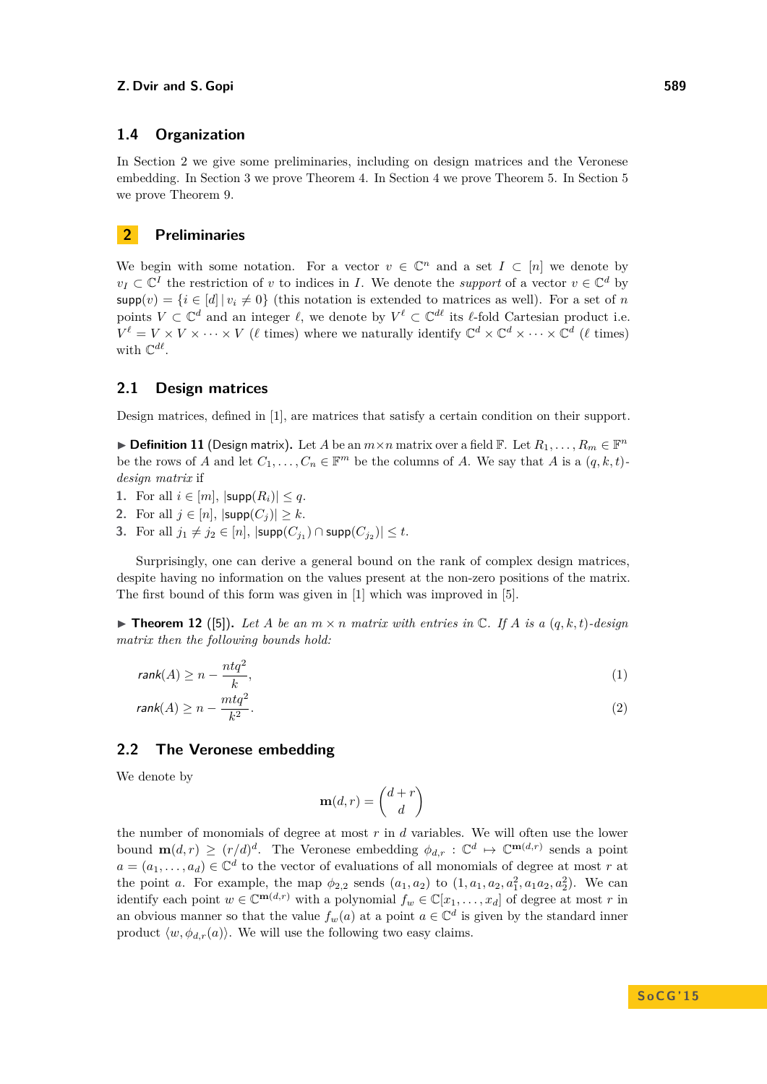## **1.4 Organization**

In Section [2](#page-5-3) we give some preliminaries, including on design matrices and the Veronese embedding. In Section [3](#page-7-1) we prove Theorem [4.](#page-2-0) In Section [4](#page-11-0) we prove Theorem [5.](#page-2-1) In Section [5](#page-12-0) we prove Theorem [9.](#page-4-0)

# <span id="page-5-3"></span>**2 Preliminaries**

We begin with some notation. For a vector  $v \in \mathbb{C}^n$  and a set  $I \subset [n]$  we denote by  $v_I \subset \mathbb{C}^I$  the restriction of *v* to indices in *I*. We denote the *support* of a vector  $v \in \mathbb{C}^d$  by  $\text{supp}(v) = \{i \in [d] | v_i \neq 0\}$  (this notation is extended to matrices as well). For a set of *n* points  $V \subset \mathbb{C}^d$  and an integer  $\ell$ , we denote by  $V^{\ell} \subset \mathbb{C}^{d\ell}$  its  $\ell$ -fold Cartesian product i.e.  $V^{\ell} = V \times V \times \cdots \times V$  ( $\ell$  times) where we naturally identify  $\mathbb{C}^{d} \times \mathbb{C}^{d} \times \cdots \times \mathbb{C}^{d}$  ( $\ell$  times) with  $\mathbb{C}^{d\ell}$ .

## <span id="page-5-1"></span>**2.1 Design matrices**

Design matrices, defined in [\[1\]](#page-14-2), are matrices that satisfy a certain condition on their support.

<span id="page-5-0"></span>▶ **Definition 11** (Design matrix). Let *A* be an  $m \times n$  matrix over a field  $\mathbb{F}$ . Let  $R_1, \ldots, R_m \in \mathbb{F}^n$ be the rows of *A* and let  $C_1, \ldots, C_n \in \mathbb{F}^m$  be the columns of *A*. We say that *A* is a  $(q, k, t)$ *design matrix* if

- **1.** For all  $i \in [m]$ ,  $|\text{supp}(R_i)| \leq q$ .
- **2.** For all  $j \in [n]$ ,  $|\text{supp}(C_j)| \geq k$ .
- **3.** For all  $j_1 \neq j_2 \in [n]$ ,  $|\textsf{supp}(C_{j_1}) \cap \textsf{supp}(C_{j_2})| \leq t$ .

Surprisingly, one can derive a general bound on the rank of complex design matrices, despite having no information on the values present at the non-zero positions of the matrix. The first bound of this form was given in [\[1\]](#page-14-2) which was improved in [\[5\]](#page-14-17).

<span id="page-5-4"></span> $\triangleright$  **Theorem 12** ([\[5\]](#page-14-17)). Let A be an  $m \times n$  matrix with entries in  $\mathbb{C}$ . If A is a  $(q, k, t)$ -design *matrix then the following bounds hold:*

<span id="page-5-5"></span>
$$
rank(A) \ge n - \frac{ntq^2}{k},\tag{1}
$$

$$
rank(A) \ge n - \frac{mtq^2}{k^2}.
$$
\n<sup>(2)</sup>

## <span id="page-5-2"></span>**2.2 The Veronese embedding**

We denote by

$$
\mathbf{m}(d,r) = \binom{d+r}{d}
$$

the number of monomials of degree at most *r* in *d* variables. We will often use the lower bound  $\mathbf{m}(d,r) \ge (r/d)^d$ . The Veronese embedding  $\phi_{d,r} : \mathbb{C}^d \mapsto \mathbb{C}^{\mathbf{m}(d,r)}$  sends a point  $a = (a_1, \ldots, a_d) \in \mathbb{C}^d$  to the vector of evaluations of all monomials of degree at most *r* at the point *a*. For example, the map  $\phi_{2,2}$  sends  $(a_1, a_2)$  to  $(1, a_1, a_2, a_1^2, a_1 a_2, a_2^2)$ . We can identify each point  $w \in \mathbb{C}^{m(d,r)}$  with a polynomial  $f_w \in \mathbb{C}[x_1,\ldots,x_d]$  of degree at most *r* in an obvious manner so that the value  $f_w(a)$  at a point  $a \in \mathbb{C}^d$  is given by the standard inner product  $\langle w, \phi_{d,r}(a) \rangle$ . We will use the following two easy claims.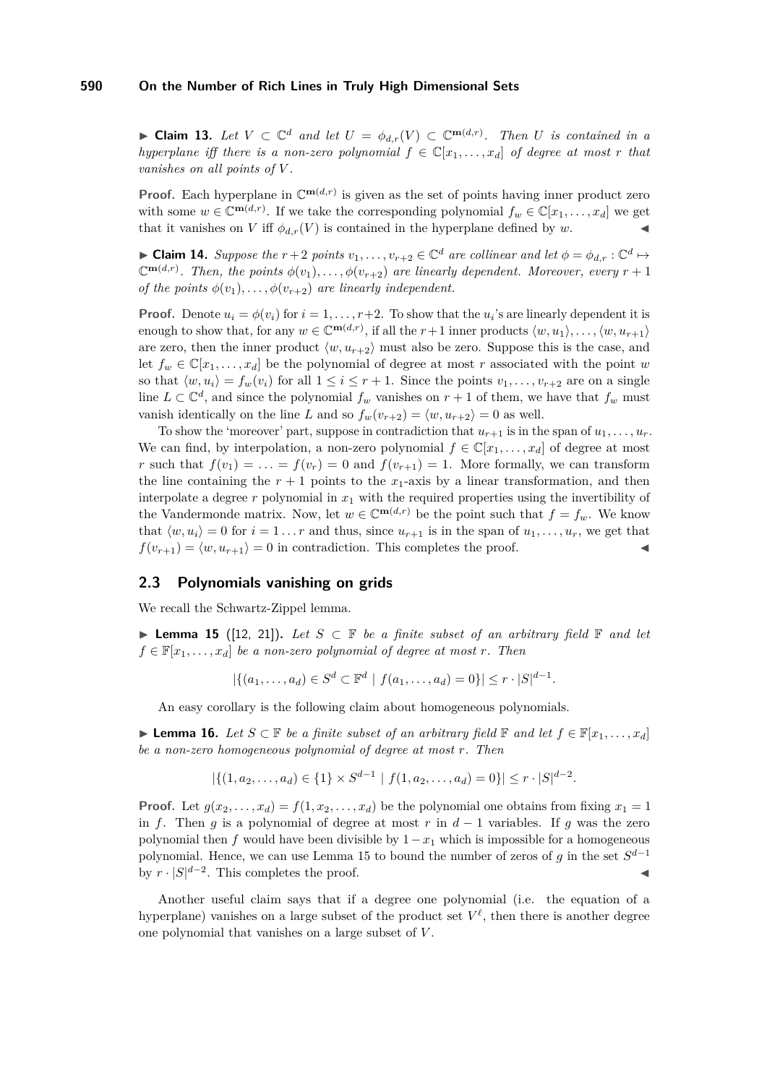<span id="page-6-1"></span>► **Claim 13.** Let  $V \subset \mathbb{C}^d$  and let  $U = \phi_{d,r}(V) \subset \mathbb{C}^{m(d,r)}$ . Then U is contained in a *hyperplane iff there is a non-zero polynomial*  $f \in \mathbb{C}[x_1, \ldots, x_d]$  *of degree at most r that vanishes on all points of V .*

**Proof.** Each hyperplane in  $\mathbb{C}^{m(d,r)}$  is given as the set of points having inner product zero with some  $w \in \mathbb{C}^{m(d,r)}$ . If we take the corresponding polynomial  $f_w \in \mathbb{C}[x_1, \ldots, x_d]$  we get that it vanishes on *V* iff  $\phi_{d,r}(V)$  is contained in the hyperplane defined by *w*.

<span id="page-6-2"></span>► Claim 14. Suppose the  $r + 2$  points  $v_1, \ldots, v_{r+2} \in \mathbb{C}^d$  are collinear and let  $\phi = \phi_{d,r} : \mathbb{C}^d \mapsto$  $\mathbb{C}^{m(d,r)}$ . Then, the points  $\phi(v_1), \ldots, \phi(v_{r+2})$  are linearly dependent. Moreover, every  $r+1$ *of the points*  $\phi(v_1), \ldots, \phi(v_{r+2})$  *are linearly independent.* 

**Proof.** Denote  $u_i = \phi(v_i)$  for  $i = 1, \ldots, r+2$ . To show that the  $u_i$ 's are linearly dependent it is enough to show that, for any  $w \in \mathbb{C}^{m(d,r)}$ , if all the  $r+1$  inner products  $\langle w, u_1 \rangle, \ldots, \langle w, u_{r+1} \rangle$ are zero, then the inner product  $\langle w, u_{r+2} \rangle$  must also be zero. Suppose this is the case, and let  $f_w \in \mathbb{C}[x_1,\ldots,x_d]$  be the polynomial of degree at most *r* associated with the point *w* so that  $\langle w, u_i \rangle = f_w(v_i)$  for all  $1 \leq i \leq r+1$ . Since the points  $v_1, \ldots, v_{r+2}$  are on a single line  $L \subset \mathbb{C}^d$ , and since the polynomial  $f_w$  vanishes on  $r + 1$  of them, we have that  $f_w$  must vanish identically on the line *L* and so  $f_w(v_{r+2}) = \langle w, u_{r+2} \rangle = 0$  as well.

To show the 'moreover' part, suppose in contradiction that  $u_{r+1}$  is in the span of  $u_1, \ldots, u_r$ . We can find, by interpolation, a non-zero polynomial  $f \in \mathbb{C}[x_1, \ldots, x_d]$  of degree at most *r* such that  $f(v_1) = \ldots = f(v_r) = 0$  and  $f(v_{r+1}) = 1$ . More formally, we can transform the line containing the  $r + 1$  points to the  $x_1$ -axis by a linear transformation, and then interpolate a degree *r* polynomial in *x*<sup>1</sup> with the required properties using the invertibility of the Vandermonde matrix. Now, let  $w \in \mathbb{C}^{m(d,r)}$  be the point such that  $f = f_w$ . We know that  $\langle w, u_i \rangle = 0$  for  $i = 1 \dots r$  and thus, since  $u_{r+1}$  is in the span of  $u_1, \dots, u_r$ , we get that  $f(v_{r+1}) = \langle w, u_{r+1} \rangle = 0$  in contradiction. This completes the proof.

## **2.3 Polynomials vanishing on grids**

We recall the Schwartz-Zippel lemma.

<span id="page-6-0"></span>I **Lemma 15** ([\[12,](#page-14-20) [21\]](#page-14-21))**.** *Let S* ⊂ F *be a finite subset of an arbitrary field* F *and let*  $f \in \mathbb{F}[x_1, \ldots, x_d]$  *be a non-zero polynomial of degree at most r. Then* 

 $|\{(a_1, \ldots, a_d) \in S^d \subset \mathbb{F}^d \mid f(a_1, \ldots, a_d) = 0\}| \leq r \cdot |S|^{d-1}.$ 

An easy corollary is the following claim about homogeneous polynomials.

<span id="page-6-3"></span>► **Lemma 16.** *Let*  $S \subset \mathbb{F}$  *be a finite subset of an arbitrary field*  $\mathbb{F}$  *and let*  $f \in \mathbb{F}[x_1, \ldots, x_d]$ *be a non-zero homogeneous polynomial of degree at most r. Then*

$$
|\{(1, a_2, \ldots, a_d) \in \{1\} \times S^{d-1} \mid f(1, a_2, \ldots, a_d) = 0\}| \leq r \cdot |S|^{d-2}.
$$

**Proof.** Let  $g(x_2, \ldots, x_d) = f(1, x_2, \ldots, x_d)$  be the polynomial one obtains from fixing  $x_1 = 1$ in *f*. Then *g* is a polynomial of degree at most *r* in  $d-1$  variables. If *g* was the zero polynomial then *f* would have been divisible by  $1-x_1$  which is impossible for a homogeneous polynomial. Hence, we can use Lemma [15](#page-6-0) to bound the number of zeros of *g* in the set *S d*−1 by  $r \cdot |S|^{d-2}$ . This completes the proof.

Another useful claim says that if a degree one polynomial (i.e. the equation of a hyperplane) vanishes on a large subset of the product set  $V^{\ell}$ , then there is another degree one polynomial that vanishes on a large subset of *V* .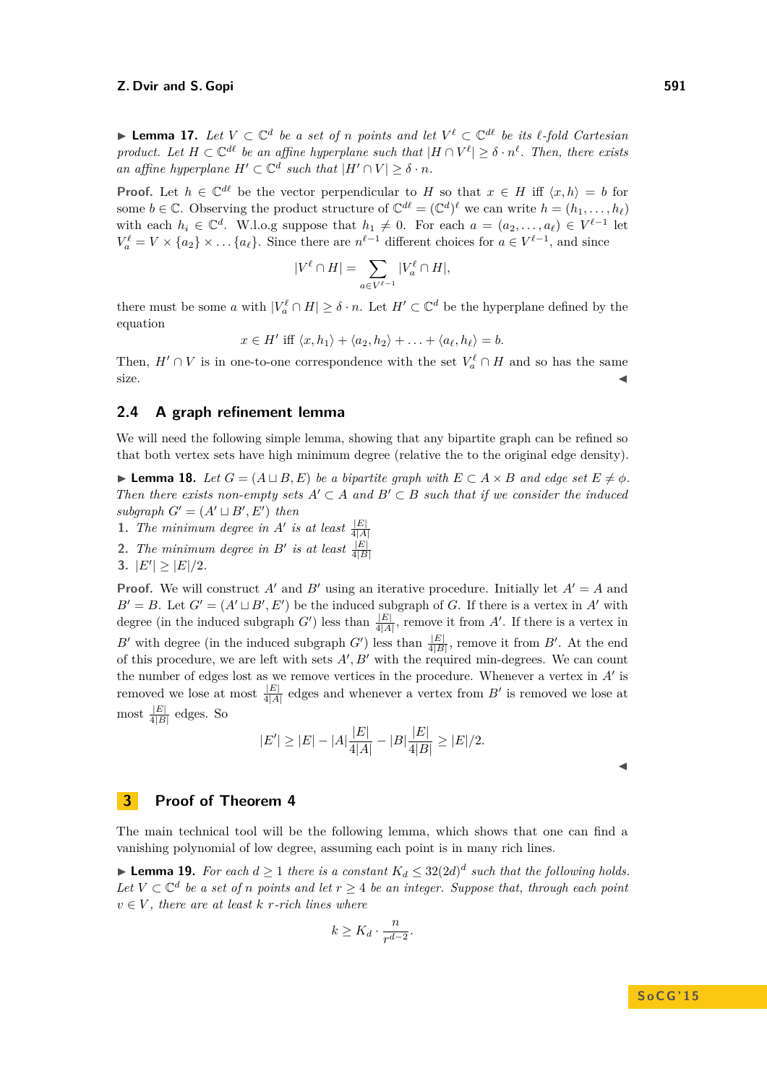<span id="page-7-3"></span>I **Lemma 17.** *Let V* ⊂ C *d be a set of n points and let V `* ⊂ C *d` be its `-fold Cartesian product.* Let  $H \subset \mathbb{C}^{d\ell}$  be an affine hyperplane such that  $|H \cap V^{\ell}| \geq \delta \cdot n^{\ell}$ . Then, there exists *an affine hyperplane*  $H' \subset \mathbb{C}^d$  *such that*  $|H' \cap V| \geq \delta \cdot n$ *.* 

**Proof.** Let  $h \in \mathbb{C}^{d\ell}$  be the vector perpendicular to *H* so that  $x \in H$  iff  $\langle x, h \rangle = b$  for some  $b \in \mathbb{C}$ . Observing the product structure of  $\mathbb{C}^{d\ell} = (\mathbb{C}^d)^{\ell}$  we can write  $h = (h_1, \ldots, h_{\ell})$ with each  $h_i \in \mathbb{C}^d$ . W.l.o.g suppose that  $h_1 \neq 0$ . For each  $a = (a_2, \ldots, a_\ell) \in V^{\ell-1}$  let  $V_a^{\ell} = V \times \{a_2\} \times ... \{a_{\ell}\}.$  Since there are  $n^{\ell-1}$  different choices for  $a \in V^{\ell-1}$ , and since

$$
|V^{\ell}\cap H|=\sum_{a\in V^{\ell-1}}|V^{\ell}_a\cap H|,
$$

there must be some *a* with  $|V_a^{\ell} \cap H| \geq \delta \cdot n$ . Let  $H' \subset \mathbb{C}^d$  be the hyperplane defined by the equation

$$
x \in H' \text{ iff } \langle x, h_1 \rangle + \langle a_2, h_2 \rangle + \ldots + \langle a_\ell, h_\ell \rangle = b.
$$

Then,  $H' \cap V$  is in one-to-one correspondence with the set  $V_a^{\ell} \cap H$  and so has the same  $size.$ 

### **2.4 A graph refinement lemma**

We will need the following simple lemma, showing that any bipartite graph can be refined so that both vertex sets have high minimum degree (relative the to the original edge density).

<span id="page-7-2"></span>► **Lemma 18.** Let  $G = (A \sqcup B, E)$  be a bipartite graph with  $E \subset A \times B$  and edge set  $E \neq \emptyset$ . *Then there exists non-empty sets*  $A' \subset A$  *and*  $B' \subset B$  *such that if we consider the induced*  $subgraph G' = (A' \sqcup B', E') then$ 

- **1.** *The minimum degree in*  $A'$  *is at least*  $\frac{|E|}{4|A|}$
- **2.** *The minimum degree in B' is at least*  $\frac{|E|}{4|B|}$
- **3.**  $|E'| \geq |E|/2$ *.*

**Proof.** We will construct A<sup> $\prime$ </sup> and B<sup> $\prime$ </sup> using an iterative procedure. Initially let  $A^{\prime} = A$  and  $B' = B$ . Let  $G' = (A' \sqcup B', E')$  be the induced subgraph of *G*. If there is a vertex in *A'* with degree (in the induced subgraph *G'*) less than  $\frac{|E|}{4|A|}$ , remove it from *A'*. If there is a vertex in *B*<sup> $\prime$ </sup> with degree (in the induced subgraph *G*<sup> $\prime$ </sup>) less than  $\frac{|E|}{4|B|}$ , remove it from *B*<sup> $\prime$ </sup>. At the end of this procedure, we are left with sets  $A, B'$  with the required min-degrees. We can count the number of edges lost as we remove vertices in the procedure. Whenever a vertex in  $A'$  is removed we lose at most  $\frac{|E|}{4|A|}$  edges and whenever a vertex from  $B'$  is removed we lose at most  $\frac{|E|}{4|B|}$  edges. So

$$
|E'| \ge |E| - |A| \frac{|E|}{4|A|} - |B| \frac{|E|}{4|B|} \ge |E|/2.
$$

 $\blacktriangleleft$ 

## <span id="page-7-1"></span>**3 Proof of Theorem [4](#page-2-0)**

The main technical tool will be the following lemma, which shows that one can find a vanishing polynomial of low degree, assuming each point is in many rich lines.

<span id="page-7-0"></span>▶ **Lemma 19.** *For each*  $d \ge 1$  *there is a constant*  $K_d \le 32(2d)^d$  *such that the following holds. Let*  $V ⊂ \mathbb{C}^d$  *be a set of n points and let*  $r ≥ 4$  *be an integer. Suppose that, through each point*  $v \in V$ , there are at least  $k$  *r-rich lines where* 

$$
k \geq K_d \cdot \frac{n}{r^{d-2}}.
$$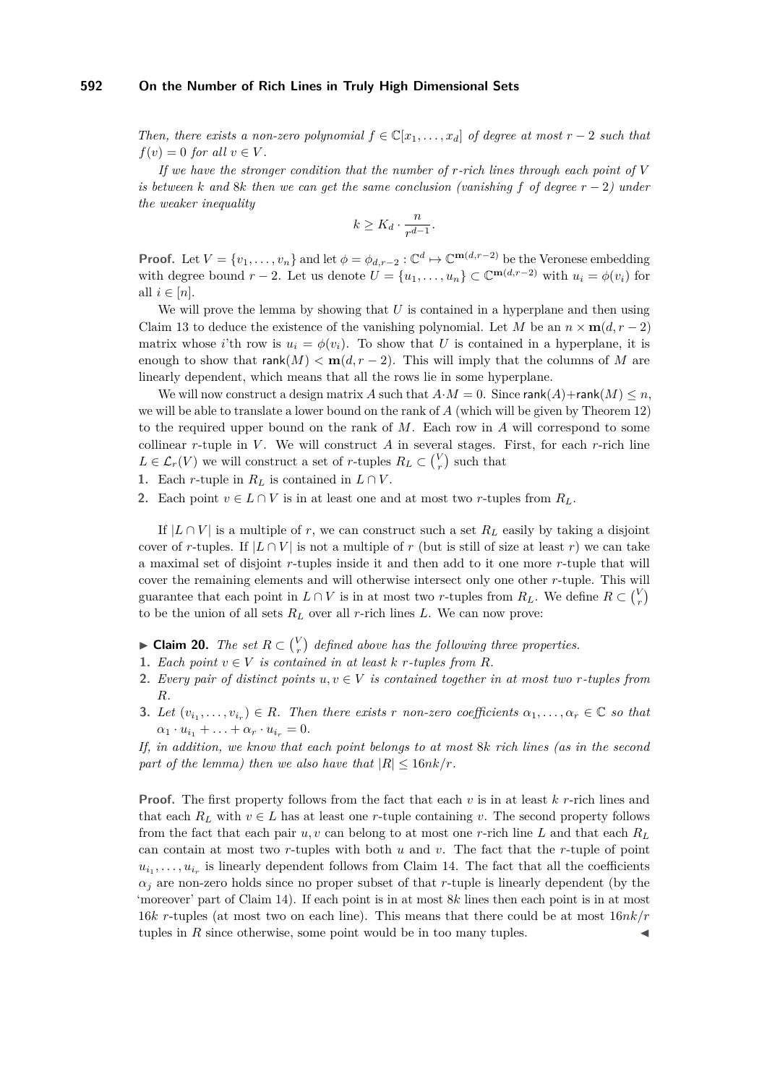*Then, there exists a non-zero polynomial*  $f \in \mathbb{C}[x_1, \ldots, x_d]$  *of degree at most*  $r-2$  *such that*  $f(v) = 0$  *for all*  $v \in V$ .

*If we have the stronger condition that the number of r-rich lines through each point of V is between*  $k$  *and*  $8k$  *then we can get the same conclusion (vanishing*  $f$  *of degree*  $r - 2$ *) under the weaker inequality*

$$
k \geq K_d \cdot \frac{n}{r^{d-1}}.
$$

**Proof.** Let  $V = \{v_1, \ldots, v_n\}$  and let  $\phi = \phi_{d,r-2} : \mathbb{C}^d \mapsto \mathbb{C}^{\mathbf{m}(d,r-2)}$  be the Veronese embedding with degree bound  $r - 2$ . Let us denote  $U = \{u_1, \ldots, u_n\} \subset \mathbb{C}^{m(d, r-2)}$  with  $u_i = \phi(v_i)$  for all  $i \in [n]$ .

We will prove the lemma by showing that *U* is contained in a hyperplane and then using Claim [13](#page-6-1) to deduce the existence of the vanishing polynomial. Let *M* be an  $n \times m(d, r - 2)$ matrix whose *i*'th row is  $u_i = \phi(v_i)$ . To show that *U* is contained in a hyperplane, it is enough to show that  $\text{rank}(M) < \text{m}(d, r-2)$ . This will imply that the columns of M are linearly dependent, which means that all the rows lie in some hyperplane.

We will now construct a design matrix *A* such that  $A \cdot M = 0$ . Since rank $(A)$ +rank $(M) \le n$ , we will be able to translate a lower bound on the rank of *A* (which will be given by Theorem [12\)](#page-5-4) to the required upper bound on the rank of *M*. Each row in *A* will correspond to some collinear  $r$ -tuple in  $V$ . We will construct  $A$  in several stages. First, for each  $r$ -rich line  $L \in \mathcal{L}_r(V)$  we will construct a set of *r*-tuples  $R_L \subset {V \choose r}$  such that

- 1. Each *r*-tuple in  $R_L$  is contained in  $L \cap V$ .
- **2.** Each point  $v \in L \cap V$  is in at least one and at most two *r*-tuples from  $R_L$ .

If  $|L \cap V|$  is a multiple of r, we can construct such a set  $R_L$  easily by taking a disjoint cover of *r*-tuples. If  $|L \cap V|$  is not a multiple of *r* (but is still of size at least *r*) we can take a maximal set of disjoint *r*-tuples inside it and then add to it one more *r*-tuple that will cover the remaining elements and will otherwise intersect only one other *r*-tuple. This will guarantee that each point in  $L \cap V$  is in at most two *r*-tuples from  $R_L$ . We define  $R \subset {V \choose r}$ to be the union of all sets  $R_L$  over all *r*-rich lines  $L$ . We can now prove:

<span id="page-8-0"></span>► Claim 20. *The set*  $R \subset \binom{V}{r}$  defined above has the following three properties.

- **1.** *Each point*  $v \in V$  *is contained in at least*  $k$  *r-tuples from*  $R$ *.*
- **2.** *Every pair of distinct points*  $u, v \in V$  *is contained together in at most two r-tuples from R.*
- **3.** Let  $(v_{i_1}, \ldots, v_{i_r}) \in R$ . Then there exists *r* non-zero coefficients  $\alpha_1, \ldots, \alpha_r \in \mathbb{C}$  so that  $\alpha_1 \cdot u_{i_1} + \ldots + \alpha_r \cdot u_{i_r} = 0.$

*If, in addition, we know that each point belongs to at most* 8*k rich lines (as in the second part of the lemma) then we also have that*  $|R| \leq 16nk/r$ .

**Proof.** The first property follows from the fact that each *v* is in at least *k r*-rich lines and that each  $R_L$  with  $v \in L$  has at least one *r*-tuple containing *v*. The second property follows from the fact that each pair *u, v* can belong to at most one *r*-rich line L and that each  $R_L$ can contain at most two *r*-tuples with both *u* and *v*. The fact that the *r*-tuple of point  $u_{i_1}, \ldots, u_{i_r}$  is linearly dependent follows from Claim [14.](#page-6-2) The fact that all the coefficients  $\alpha_i$  are non-zero holds since no proper subset of that *r*-tuple is linearly dependent (by the 'moreover' part of Claim [14\)](#page-6-2). If each point is in at most 8*k* lines then each point is in at most 16*k r*-tuples (at most two on each line). This means that there could be at most 16*nk/r* tuples in  $R$  since otherwise, some point would be in too many tuples.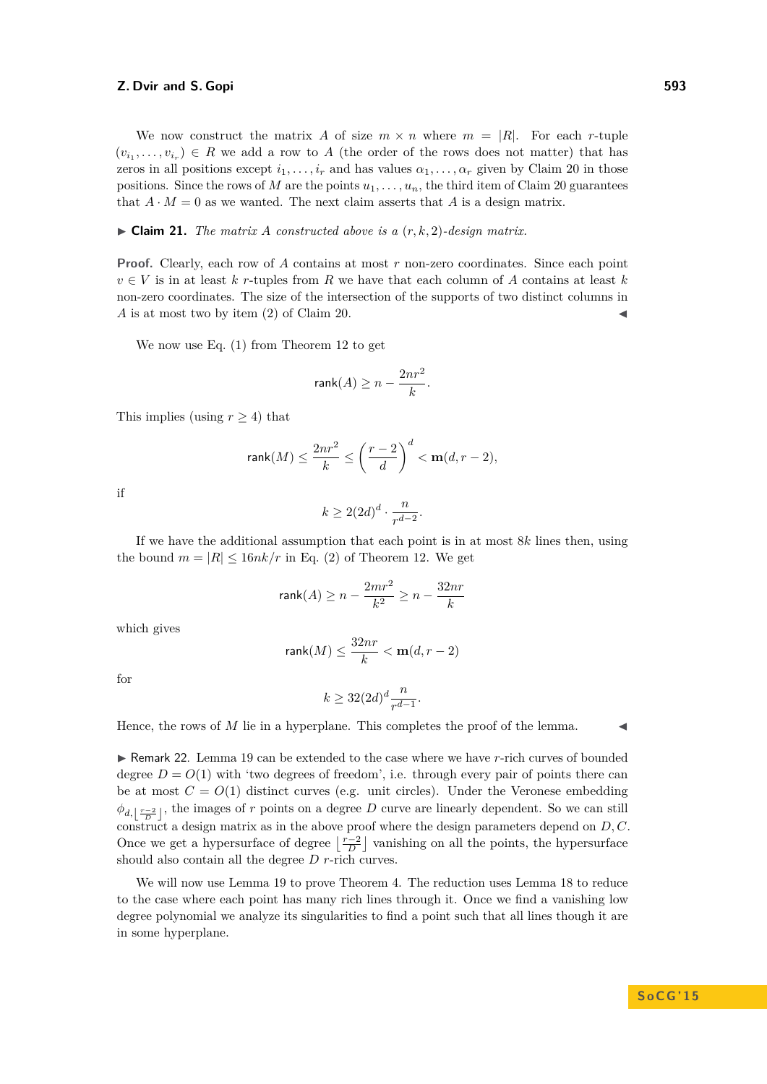We now construct the matrix *A* of size  $m \times n$  where  $m = |R|$ . For each *r*-tuple  $(v_{i_1}, \ldots, v_{i_r}) \in R$  we add a row to *A* (the order of the rows does not matter) that has zeros in all positions except  $i_1, \ldots, i_r$  and has values  $\alpha_1, \ldots, \alpha_r$  given by Claim [20](#page-8-0) in those positions. Since the rows of *M* are the points  $u_1, \ldots, u_n$ , the third item of Claim [20](#page-8-0) guarantees that  $A \cdot M = 0$  as we wanted. The next claim asserts that A is a design matrix.

 $\triangleright$  **Claim 21.** *The matrix A constructed above is a*  $(r, k, 2)$ *-design matrix.* 

**Proof.** Clearly, each row of *A* contains at most *r* non-zero coordinates. Since each point  $v \in V$  is in at least *k* r-tuples from *R* we have that each column of *A* contains at least *k* non-zero coordinates. The size of the intersection of the supports of two distinct columns in  $\tilde{A}$  is at most two by item (2) of Claim [20.](#page-8-0)

We now use Eq. [\(1\)](#page-5-5) from Theorem [12](#page-5-4) to get

$$
\mathop{\rm rank}(A) \geq n - \frac{2nr^2}{k}.
$$

This implies (using  $r \geq 4$ ) that

$$
\text{rank}(M) \le \frac{2nr^2}{k} \le \left(\frac{r-2}{d}\right)^d < \mathbf{m}(d, r-2),
$$

if

$$
k \ge 2(2d)^d \cdot \frac{n}{r^{d-2}}.
$$

If we have the additional assumption that each point is in at most 8*k* lines then, using the bound  $m = |R| \leq 16nk/r$  in Eq. [\(2\)](#page-5-5) of Theorem [12.](#page-5-4) We get

$$
\mathop{\sf rank}(A) \geq n - \frac{2mr^2}{k^2} \geq n - \frac{32nr}{k}
$$

which gives

$$
\mathrm{rank}(M) \leq \frac{32nr}{k} < \mathbf{m}(d,r-2)
$$

for

$$
k \ge 32(2d)^d \frac{n}{r^{d-1}}.
$$

Hence, the rows of  $M$  lie in a hyperplane. This completes the proof of the lemma.

<span id="page-9-0"></span>► Remark 22. Lemma [19](#page-7-0) can be extended to the case where we have *r*-rich curves of bounded degree  $D = O(1)$  with 'two degrees of freedom', i.e. through every pair of points there can be at most  $C = O(1)$  distinct curves (e.g. unit circles). Under the Veronese embedding  $\phi_{d, \left\lfloor \frac{r-2}{D} \right\rfloor}$ , the images of *r* points on a degree *D* curve are linearly dependent. So we can still construct a design matrix as in the above proof where the design parameters depend on *D, C*. Once we get a hypersurface of degree  $\left\lfloor \frac{r-2}{D} \right\rfloor$  vanishing on all the points, the hypersurface should also contain all the degree *D r*-rich curves.

We will now use Lemma [19](#page-7-0) to prove Theorem [4.](#page-2-0) The reduction uses Lemma [18](#page-7-2) to reduce to the case where each point has many rich lines through it. Once we find a vanishing low degree polynomial we analyze its singularities to find a point such that all lines though it are in some hyperplane.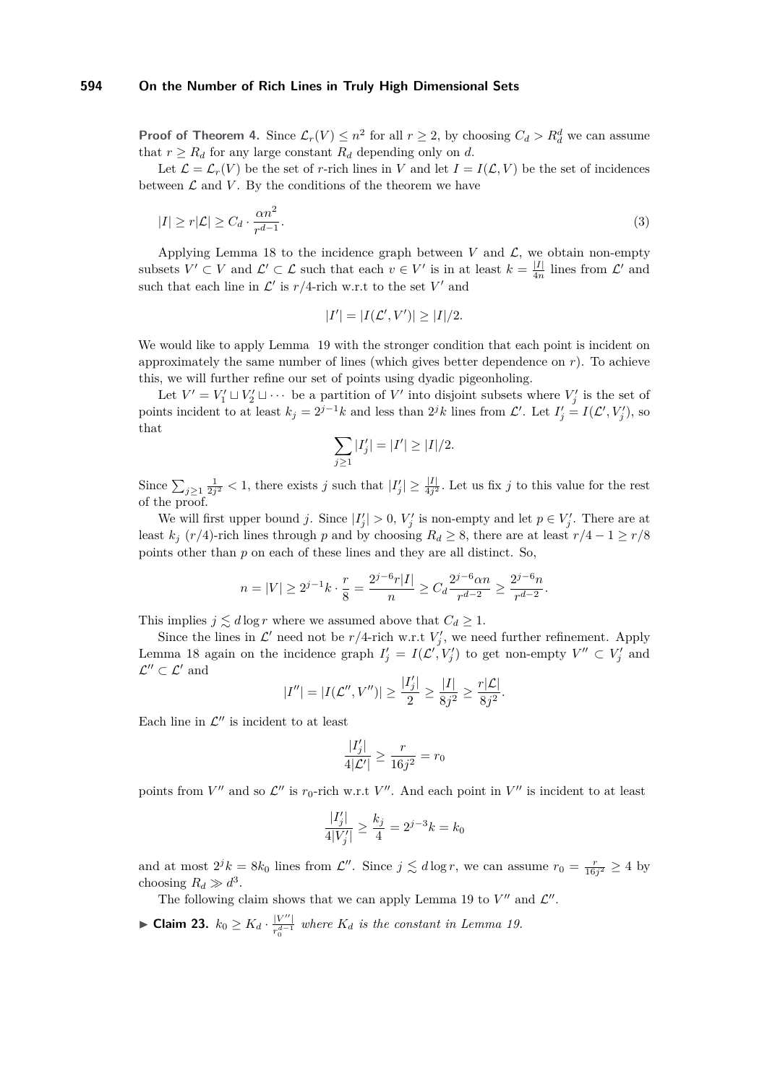**Proof of Theorem [4.](#page-2-0)** Since  $\mathcal{L}_r(V) \leq n^2$  for all  $r \geq 2$ , by choosing  $C_d > R_d^d$  we can assume that  $r \geq R_d$  for any large constant  $R_d$  depending only on *d*.

Let  $\mathcal{L} = \mathcal{L}_r(V)$  be the set of *r*-rich lines in *V* and let  $I = I(\mathcal{L}, V)$  be the set of incidences between  $\mathcal L$  and  $V$ . By the conditions of the theorem we have

$$
|I| \ge r|\mathcal{L}| \ge C_d \cdot \frac{\alpha n^2}{r^{d-1}}.\tag{3}
$$

Applying Lemma [18](#page-7-2) to the incidence graph between  $V$  and  $\mathcal{L}$ , we obtain non-empty subsets  $V' \subset V$  and  $\mathcal{L}' \subset \mathcal{L}$  such that each  $v \in V'$  is in at least  $k = \frac{|I|}{4n}$  $\frac{|I|}{4n}$  lines from  $\mathcal{L}'$  and such that each line in  $\mathcal{L}'$  is  $r/4$ -rich w.r.t to the set  $V'$  and

<span id="page-10-0"></span>
$$
|I'| = |I(\mathcal{L}', V')| \ge |I|/2.
$$

We would like to apply Lemma [19](#page-7-0) with the stronger condition that each point is incident on approximately the same number of lines (which gives better dependence on  $r$ ). To achieve this, we will further refine our set of points using dyadic pigeonholing.

Let  $V' = V'_1 \sqcup V'_2 \sqcup \cdots$  be a partition of  $V'$  into disjoint subsets where  $V'_j$  is the set of points incident to at least  $k_j = 2^{j-1}k$  and less than  $2^jk$  lines from  $\mathcal{L}'$ . Let  $I'_j = I(\mathcal{L}', V'_j)$ , so that

$$
\sum_{j\geq 1} |I'_j| = |I'| \geq |I|/2.
$$

Since  $\sum_{j\geq 1}\frac{1}{2j^2} < 1$ , there exists *j* such that  $|I'_j| \geq \frac{|I|}{4j^2}$ . Let us fix *j* to this value for the rest of the proof.

We will first upper bound *j*. Since  $|I'_j| > 0$ ,  $V'_j$  is non-empty and let  $p \in V'_j$ . There are at least  $k_j$  ( $r/4$ )-rich lines through *p* and by choosing  $R_d \geq 8$ , there are at least  $r/4 - 1 \geq r/8$ points other than *p* on each of these lines and they are all distinct. So,

$$
n=|V|\geq 2^{j-1}k\cdot\frac{r}{8}=\frac{2^{j-6}r|I|}{n}\geq C_d\frac{2^{j-6}\alpha n}{r^{d-2}}\geq \frac{2^{j-6}n}{r^{d-2}}.
$$

This implies  $j \lesssim d \log r$  where we assumed above that  $C_d \geq 1$ .

Since the lines in  $\mathcal{L}'$  need not be  $r/4$ -rich w.r.t  $V'_j$ , we need further refinement. Apply Lemma [18](#page-7-2) again on the incidence graph  $I'_j = I(\mathcal{L}', V'_j)$  to get non-empty  $V'' \subset V'_j$  and  $\mathcal{L}^{\prime\prime}\subset\mathcal{L}^\prime$  and

$$
|I''| = |I(\mathcal{L}'', V'')| \ge \frac{|I'_j|}{2} \ge \frac{|I|}{8j^2} \ge \frac{r|\mathcal{L}|}{8j^2}.
$$

Each line in  $\mathcal{L}''$  is incident to at least

$$
\frac{|I'_j|}{4|\mathcal{L}'|} \ge \frac{r}{16j^2} = r_0
$$

points from  $V''$  and so  $\mathcal{L}''$  is  $r_0$ -rich w.r.t  $V''$ . And each point in  $V''$  is incident to at least

$$
\frac{|I'_j|}{4|V'_j|} \ge \frac{k_j}{4} = 2^{j-3}k = k_0
$$

and at most  $2^{j}k = 8k_0$  lines from  $\mathcal{L}''$ . Since  $j \lesssim d \log r$ , we can assume  $r_0 = \frac{r}{16j^2} \ge 4$  by choosing  $R_d \gg d^3$ .

The following claim shows that we can apply Lemma [19](#page-7-0) to  $V''$  and  $\mathcal{L}''$ .

▶ Claim 23.  $k_0 \geq K_d \cdot \frac{|V''|}{r^{d-1}}$  $\frac{V}{r_0^{d-1}}$  where  $K_d$  is the constant in Lemma [19.](#page-7-0)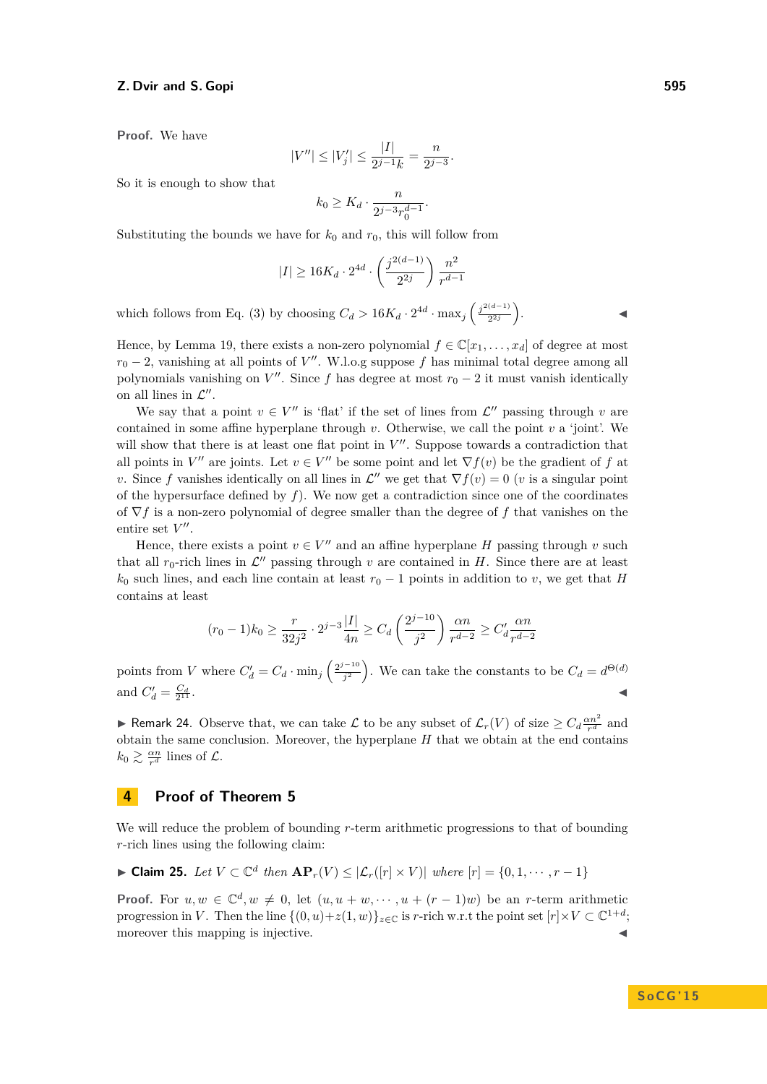**Proof.** We have

$$
|V''| \le |V'_j| \le \frac{|I|}{2^{j-1}k} = \frac{n}{2^{j-3}}.
$$

So it is enough to show that

$$
k_0 \geq K_d \cdot \frac{n}{2^{j-3}r_0^{d-1}}.
$$

Substituting the bounds we have for  $k_0$  and  $r_0$ , this will follow from

$$
|I| \geq 16K_d \cdot 2^{4d} \cdot \left(\frac{j^{2(d-1)}}{2^{2j}}\right) \frac{n^2}{r^{d-1}}
$$

which follows from Eq. [\(3\)](#page-10-0) by choosing  $C_d > 16K_d \cdot 2^{4d} \cdot \max_j \left( \frac{j^{2(d-1)}}{2^{2j}} \right)$  $rac{(d-1)}{2^{2j}}\right)$  $\mathbf{J}$  and  $\mathbf{J}$  and  $\mathbf{J}$ 

Hence, by Lemma [19,](#page-7-0) there exists a non-zero polynomial  $f \in \mathbb{C}[x_1, \ldots, x_d]$  of degree at most  $r_0 - 2$ , vanishing at all points of *V*<sup>"</sup>. W.l.o.g suppose *f* has minimal total degree among all polynomials vanishing on  $V''$ . Since *f* has degree at most  $r_0 - 2$  it must vanish identically on all lines in  $\mathcal{L}''$ .

We say that a point  $v \in V''$  is 'flat' if the set of lines from  $\mathcal{L}''$  passing through *v* are contained in some affine hyperplane through *v*. Otherwise, we call the point *v* a 'joint'. We will show that there is at least one flat point in  $V''$ . Suppose towards a contradiction that all points in *V*<sup>"</sup> are joints. Let  $v \in V''$  be some point and let  $\nabla f(v)$  be the gradient of *f* at *v*. Since *f* vanishes identically on all lines in  $\mathcal{L}''$  we get that  $\nabla f(v) = 0$  (*v* is a singular point of the hypersurface defined by *f*). We now get a contradiction since one of the coordinates of ∇*f* is a non-zero polynomial of degree smaller than the degree of *f* that vanishes on the entire set  $V''$ .

Hence, there exists a point  $v \in V''$  and an affine hyperplane *H* passing through *v* such that all  $r_0$ -rich lines in  $\mathcal{L}''$  passing through  $v$  are contained in  $H$ . Since there are at least  $k_0$  such lines, and each line contain at least  $r_0 - 1$  points in addition to *v*, we get that *H* contains at least

$$
(r_0 - 1)k_0 \ge \frac{r}{32j^2} \cdot 2^{j-3} \frac{|I|}{4n} \ge C_d \left(\frac{2^{j-10}}{j^2}\right) \frac{\alpha n}{r^{d-2}} \ge C_d' \frac{\alpha n}{r^{d-2}}
$$

points from *V* where  $C'_d = C_d \cdot \min_j \left( \frac{2^{j-10}}{j^2} \right)$  $\left(\frac{d}{d} - \frac{d}{d}\right)$ . We can take the constants to be  $C_d = d^{\Theta(d)}$ and  $C'_d = \frac{C_d}{2^{11}}$  $\frac{C_d}{11}$ .

<span id="page-11-2"></span>► Remark 24. Observe that, we can take  $\mathcal L$  to be any subset of  $\mathcal L_r(V)$  of size  $\geq C_d \frac{\alpha n^2}{r^d}$  and obtain the same conclusion. Moreover, the hyperplane *H* that we obtain at the end contains  $k_0 \gtrsim \frac{\alpha n}{r^d}$  lines of  $\mathcal{L}$ .

## <span id="page-11-0"></span>**4 Proof of Theorem [5](#page-2-1)**

We will reduce the problem of bounding *r*-term arithmetic progressions to that of bounding *r*-rich lines using the following claim:

<span id="page-11-1"></span>
$$
\blacktriangleright \text{Claim 25. } Let V \subset \mathbb{C}^d \text{ then } \mathbf{AP}_r(V) \leq |\mathcal{L}_r([r] \times V)| \text{ where } [r] = \{0, 1, \cdots, r-1\}
$$

**Proof.** For  $u, w \in \mathbb{C}^d, w \neq 0$ , let  $(u, u + w, \dots, u + (r - 1)w)$  be an *r*-term arithmetic progression in *V*. Then the line  $\{(0, u) + z(1, w)\}_{z \in \mathbb{C}}$  is *r*-rich w.r.t the point set  $[r] \times V \subset \mathbb{C}^{1+d}$ ; moreover this mapping is injective.

# **S o C G ' 1 5**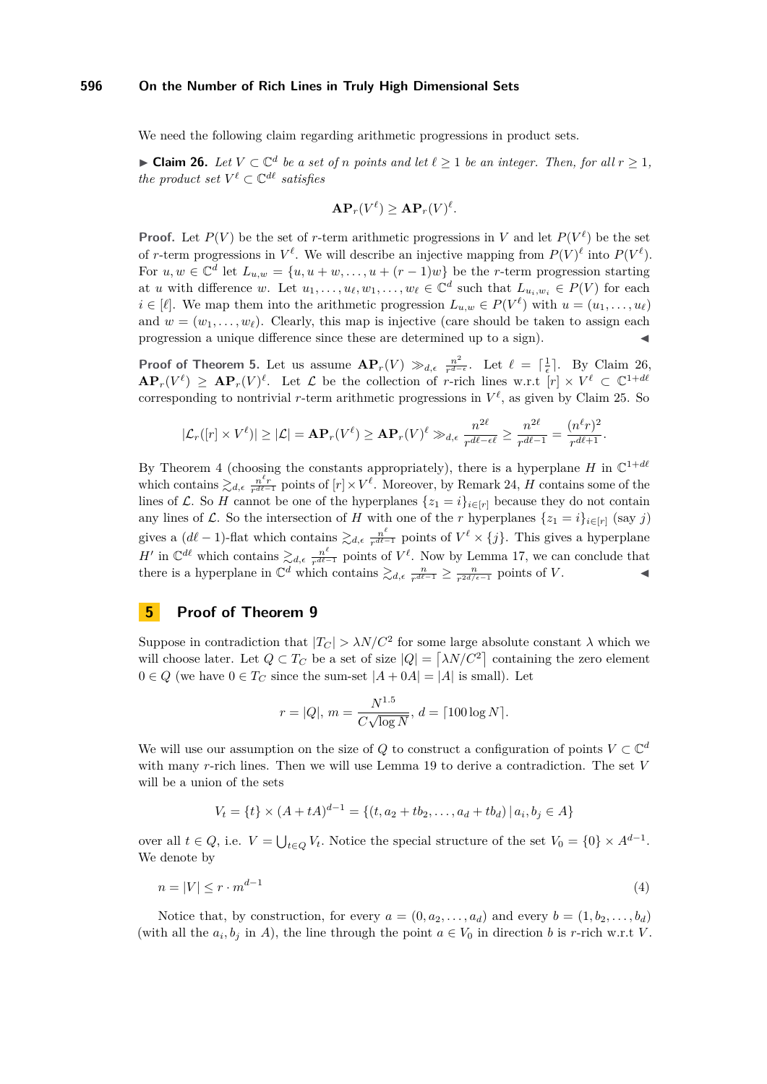We need the following claim regarding arithmetic progressions in product sets.

<span id="page-12-1"></span>▶ **Claim 26.** *Let*  $V \subset \mathbb{C}^d$  *be a set of n points and let*  $\ell \geq 1$  *be an integer. Then, for all*  $r \geq 1$ *, the product set*  $V^{\ell} \subset \mathbb{C}^{d\ell}$  *satisfies* 

$$
\mathbf{AP}_r(V^{\ell}) \geq \mathbf{AP}_r(V)^{\ell}.
$$

**Proof.** Let  $P(V)$  be the set of *r*-term arithmetic progressions in *V* and let  $P(V^{\ell})$  be the set of *r*-term progressions in  $V^{\ell}$ . We will describe an injective mapping from  $P(V)^{\ell}$  into  $P(V^{\ell})$ . For  $u, w \in \mathbb{C}^d$  let  $L_{u,w} = \{u, u+w, \ldots, u+(r-1)w\}$  be the *r*-term progression starting at *u* with difference *w*. Let  $u_1, \ldots, u_\ell, w_1, \ldots, w_\ell \in \mathbb{C}^d$  such that  $L_{u_i, w_i} \in P(V)$  for each  $i \in [\ell]$ . We map them into the arithmetic progression  $L_{u,w} \in P(V^{\ell})$  with  $u = (u_1, \ldots, u_{\ell})$ and  $w = (w_1, \ldots, w_\ell)$ . Clearly, this map is injective (care should be taken to assign each progression a unique difference since these are determined up to a sign).

**Proof of Theorem [5.](#page-2-1)** Let us assume  $\mathbf{AP}_r(V) \gg_{d,e} \frac{n^2}{r^{d-1}}$  $\frac{n^2}{r^{d-\epsilon}}$ . Let  $\ell = \lceil \frac{1}{\epsilon} \rceil$ . By Claim [26,](#page-12-1)  $\mathbf{AP}_r(V^{\ell}) \geq \mathbf{AP}_r(V)^{\ell}$ . Let  $\mathcal L$  be the collection of *r*-rich lines w.r.t  $[r] \times V^{\ell} \subset \mathbb{C}^{1+d\ell}$ corresponding to nontrivial *r*-term arithmetic progressions in  $V^{\ell}$ , as given by Claim [25.](#page-11-1) So

$$
|\mathcal{L}_r([r]\times V^\ell)|\geq |\mathcal{L}|=\mathbf{A}\mathbf{P}_r(V^\ell)\geq \mathbf{A}\mathbf{P}_r(V)^\ell\gg_{d,\epsilon} \frac{n^{2\ell}}{r^{d\ell-\epsilon\ell}}\geq \frac{n^{2\ell}}{r^{d\ell-1}}=\frac{(n^\ell r)^2}{r^{d\ell+1}}.
$$

By Theorem [4](#page-2-0) (choosing the constants appropriately), there is a hyperplane *H* in  $\mathbb{C}^{1+d\ell}$ which contains  $\gtrsim_{d,\epsilon} \frac{n^{\ell}r}{r^{d\ell-1}}$  points of  $[r] \times V^{\ell}$ . Moreover, by Remark [24,](#page-11-2) *H* contains some of the lines of L. So H cannot be one of the hyperplanes  $\{z_1 = i\}_{i \in [r]}$  because they do not contain any lines of  $\mathcal{L}$ . So the intersection of *H* with one of the *r* hyperplanes  $\{z_1 = i\}_{i \in [r]}$  (say *j*) gives a  $(d\ell - 1)$ -flat which contains  $\gtrsim_{d,\epsilon} \frac{n^{\ell}}{r^{d\ell}}$  $\frac{n^{\ell}}{r^{d\ell-1}}$  points of  $V^{\ell} \times \{j\}$ . This gives a hyperplane *H*<sup> $\prime$ </sup> in  $\mathbb{C}^{d\ell}$  which contains  $\gtrsim_{d,\epsilon} \frac{n^{\ell}}{r^{d\ell}}$  $\frac{n^{\ell}}{r^{d\ell-1}}$  points of  $V^{\ell}$ . Now by Lemma [17,](#page-7-3) we can conclude that there is a hyperplane in  $\mathbb{C}^d$  which contains  $\geq d$ ,  $\frac{n}{r^{d\ell-1}} \geq \frac{n}{r^{2d/\epsilon-1}}$  points of *V*.

# <span id="page-12-0"></span>**5 Proof of Theorem [9](#page-4-0)**

Suppose in contradiction that  $|T_C| > \lambda N/C^2$  for some large absolute constant  $\lambda$  which we will choose later. Let  $Q \subset T_C$  be a set of size  $|Q| = \lceil \lambda N/C^2 \rceil$  containing the zero element  $0 \in Q$  (we have  $0 \in T_C$  since the sum-set  $|A + 0A| = |A|$  is small). Let

$$
r = |Q|, m = \frac{N^{1.5}}{C\sqrt{\log N}}, d = \lceil 100 \log N \rceil.
$$

We will use our assumption on the size of  $Q$  to construct a configuration of points  $V \subset \mathbb{C}^d$ with many *r*-rich lines. Then we will use Lemma [19](#page-7-0) to derive a contradiction. The set *V* will be a union of the sets

<span id="page-12-2"></span>
$$
V_t = \{t\} \times (A + tA)^{d-1} = \{(t, a_2 + tb_2, \dots, a_d + tb_d) \mid a_i, b_j \in A\}
$$

over all  $t \in Q$ , i.e.  $V = \bigcup_{t \in Q} V_t$ . Notice the special structure of the set  $V_0 = \{0\} \times A^{d-1}$ . We denote by

$$
n = |V| \le r \cdot m^{d-1} \tag{4}
$$

Notice that, by construction, for every  $a = (0, a_2, \ldots, a_d)$  and every  $b = (1, b_2, \ldots, b_d)$ (with all the  $a_i, b_j$  in *A*), the line through the point  $a \in V_0$  in direction *b* is *r*-rich w.r.t *V*.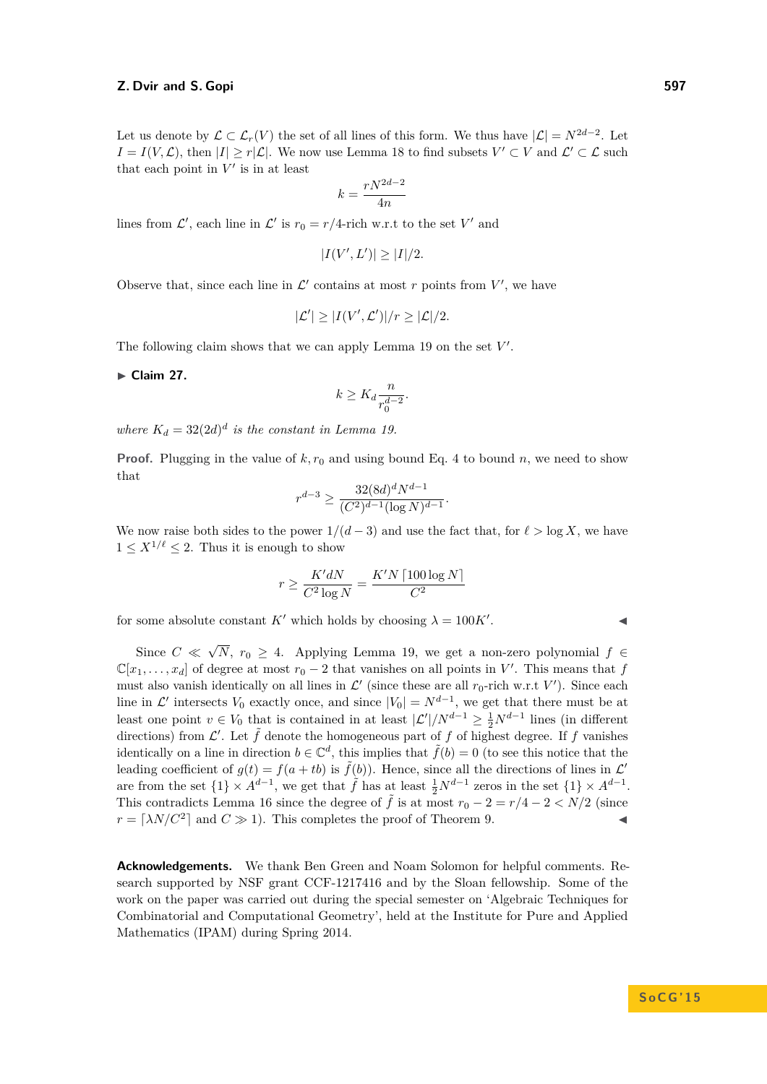Let us denote by  $\mathcal{L} \subset \mathcal{L}_r(V)$  the set of all lines of this form. We thus have  $|\mathcal{L}| = N^{2d-2}$ . Let  $I = I(V, \mathcal{L})$ , then  $|I| \geq r|\mathcal{L}|$ . We now use Lemma [18](#page-7-2) to find subsets  $V' \subset V$  and  $\mathcal{L}' \subset \mathcal{L}$  such that each point in  $V'$  is in at least

$$
k=\frac{rN^{2d-2}}{4n}
$$

lines from  $\mathcal{L}'$ , each line in  $\mathcal{L}'$  is  $r_0 = r/4$ -rich w.r.t to the set *V'* and

$$
|I(V', L')| \ge |I|/2.
$$

Observe that, since each line in  $\mathcal{L}'$  contains at most r points from  $V'$ , we have

$$
|\mathcal{L}'| \ge |I(V', \mathcal{L}')|/r \ge |\mathcal{L}|/2.
$$

The following claim shows that we can apply Lemma [19](#page-7-0) on the set  $V'$ .

► Claim 27.

$$
k \ge K_d \frac{n}{r_0^{d-2}}.
$$

*where*  $K_d = 32(2d)^d$  *is the constant in Lemma [19.](#page-7-0)* 

**Proof.** Plugging in the value of  $k, r_0$  and using bound Eq. [4](#page-12-2) to bound *n*, we need to show that

$$
r^{d-3} \ge \frac{32(8d)^d N^{d-1}}{(C^2)^{d-1} (\log N)^{d-1}}.
$$

We now raise both sides to the power  $1/(d-3)$  and use the fact that, for  $\ell > \log X$ , we have  $1 \leq X^{1/\ell} \leq 2$ . Thus it is enough to show

$$
r \ge \frac{K'dN}{C^2 \log N} = \frac{K'N \left\lceil 100 \log N \right\rceil}{C^2}
$$

for some absolute constant *K'* which holds by choosing  $\lambda = 100K'$ .

Since  $C \ll$ √ *N*,  $r_0$  ≥ 4. Applying Lemma [19,](#page-7-0) we get a non-zero polynomial  $f$  ∈  $\mathbb{C}[x_1,\ldots,x_d]$  of degree at most  $r_0-2$  that vanishes on all points in *V*'. This means that *f* must also vanish identically on all lines in  $\mathcal{L}'$  (since these are all  $r_0$ -rich w.r.t  $V'$ ). Since each line in  $\mathcal{L}'$  intersects  $V_0$  exactly once, and since  $|V_0| = N^{d-1}$ , we get that there must be at least one point  $v \in V_0$  that is contained in at least  $|\mathcal{L}'|/N^{d-1} \geq \frac{1}{2}N^{d-1}$  lines (in different directions) from  $\mathcal{L}'$ . Let  $\tilde{f}$  denote the homogeneous part of  $f$  of highest degree. If  $f$  vanishes identically on a line in direction  $b \in \mathbb{C}^d$ , this implies that  $\tilde{f}(b) = 0$  (to see this notice that the leading coefficient of  $g(t) = f(a + tb)$  is  $\tilde{f}(b)$ ). Hence, since all the directions of lines in  $\mathcal{L}'$ are from the set  $\{1\} \times A^{d-1}$ , we get that  $\tilde{f}$  has at least  $\frac{1}{2}N^{d-1}$  zeros in the set  $\{1\} \times A^{d-1}$ . This contradicts Lemma [16](#page-6-3) since the degree of  $\tilde{f}$  is at most  $r_0 - 2 = r/4 - 2 < N/2$  (since  $r = \lceil \lambda N/C^2 \rceil$  and  $C \gg 1$ ). This completes the proof of Theorem [9.](#page-4-0)

**Acknowledgements.** We thank Ben Green and Noam Solomon for helpful comments. Research supported by NSF grant CCF-1217416 and by the Sloan fellowship. Some of the work on the paper was carried out during the special semester on 'Algebraic Techniques for Combinatorial and Computational Geometry', held at the Institute for Pure and Applied Mathematics (IPAM) during Spring 2014.

. John J. J. J. J.